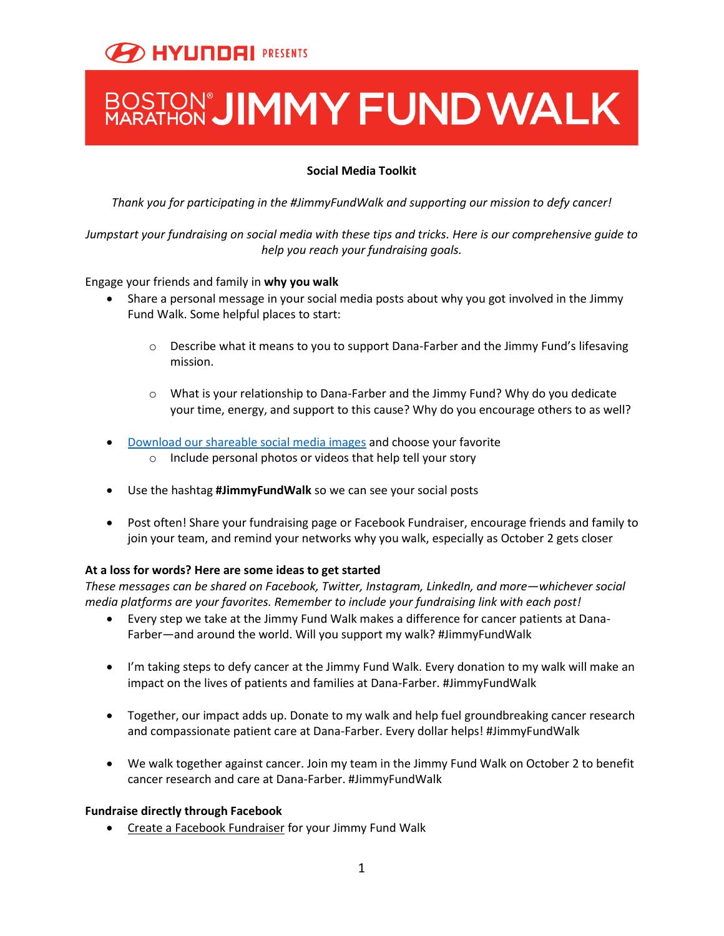# BOSTON'**JIMMY FUND WALK**

## **Social Media Toolkit**

*Thank you for participating in the #JimmyFundWalk and supporting our mission to defy cancer!* 

*Jumpstart your fundraising on social media with these tips and tricks. Here is our comprehensive guide to help you reach your fundraising goals.* 

## Engage your friends and family in **why you walk**

- Share a personal message in your social media posts about why you got involved in the Jimmy Fund Walk. Some helpful places to start:
	- $\circ$  Describe what it means to you to support Dana-Farber and the Jimmy Fund's lifesaving mission.
	- o What is your relationship to Dana-Farber and the Jimmy Fund? Why do you dedicate your time, energy, and support to this cause? Why do you encourage others to as well?
- [Download our shareable social media images](https://www.dropbox.com/sh/sk51yc5wefsjs3c/AABtTyU8Do4nfeZzQT9-TUnAa?dl=0) and choose your favorite
	- o Include personal photos or videos that help tell your story
- Use the hashtag **#JimmyFundWalk** so we can see your social posts
- Post often! Share your fundraising page or Facebook Fundraiser, encourage friends and family to join your team, and remind your networks why you walk, especially as October 2 gets closer

## **At a loss for words? Here are some ideas to get started**

*These messages can be shared on Facebook, Twitter, Instagram, LinkedIn, and more—whichever social media platforms are your favorites. Remember to include your fundraising link with each post!* 

- Every step we take at the Jimmy Fund Walk makes a difference for cancer patients at Dana-Farber—and around the world. Will you support my walk? #JimmyFundWalk
- I'm taking steps to defy cancer at the Jimmy Fund Walk. Every donation to my walk will make an impact on the lives of patients and families at Dana-Farber. #JimmyFundWalk
- Together, our impact adds up. Donate to my walk and help fuel groundbreaking cancer research and compassionate patient care at Dana-Farber. Every dollar helps! #JimmyFundWalk
- We walk together against cancer. Join my team in the Jimmy Fund Walk on October 2 to benefit cancer research and care at Dana-Farber. #JimmyFundWalk

## **Fundraise directly through Facebook**

• Create a Facebook Fundraiser for your Jimmy Fund Walk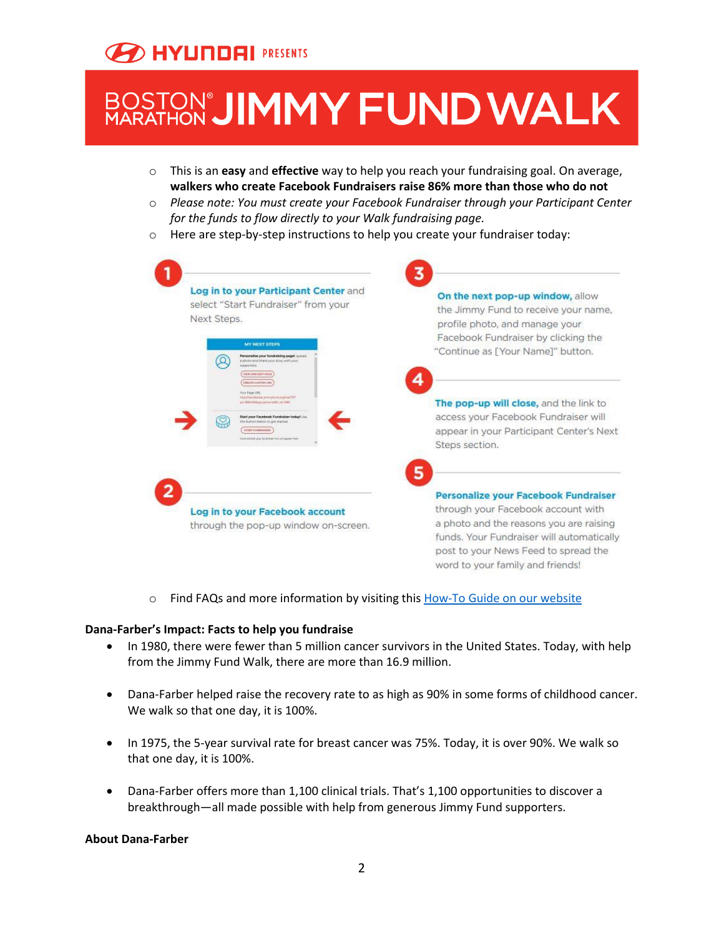# BOSTON'**JIMMY FUND WALK**

- o This is an **easy** and **effective** way to help you reach your fundraising goal. On average, **walkers who create Facebook Fundraisers raise 86% more than those who do not**
- o *Please note: You must create your Facebook Fundraiser through your Participant Center for the funds to flow directly to your Walk fundraising page.*
- o Here are step-by-step instructions to help you create your fundraiser today:



o Find FAQs and more information by visiting thi[s How-To Guide on our website](http://danafarber.jimmyfund.org/site/DocServer/Walk_Web_FacebookFundraisers.pdf?docID=2966)

## **Dana-Farber's Impact: Facts to help you fundraise**

- In 1980, there were fewer than 5 million cancer survivors in the United States. Today, with help from the Jimmy Fund Walk, there are more than 16.9 million.
- Dana-Farber helped raise the recovery rate to as high as 90% in some forms of childhood cancer. We walk so that one day, it is 100%.
- In 1975, the 5-year survival rate for breast cancer was 75%. Today, it is over 90%. We walk so that one day, it is 100%.
- Dana-Farber offers more than 1,100 clinical trials. That's 1,100 opportunities to discover a breakthrough—all made possible with help from generous Jimmy Fund supporters.

#### **About Dana-Farber**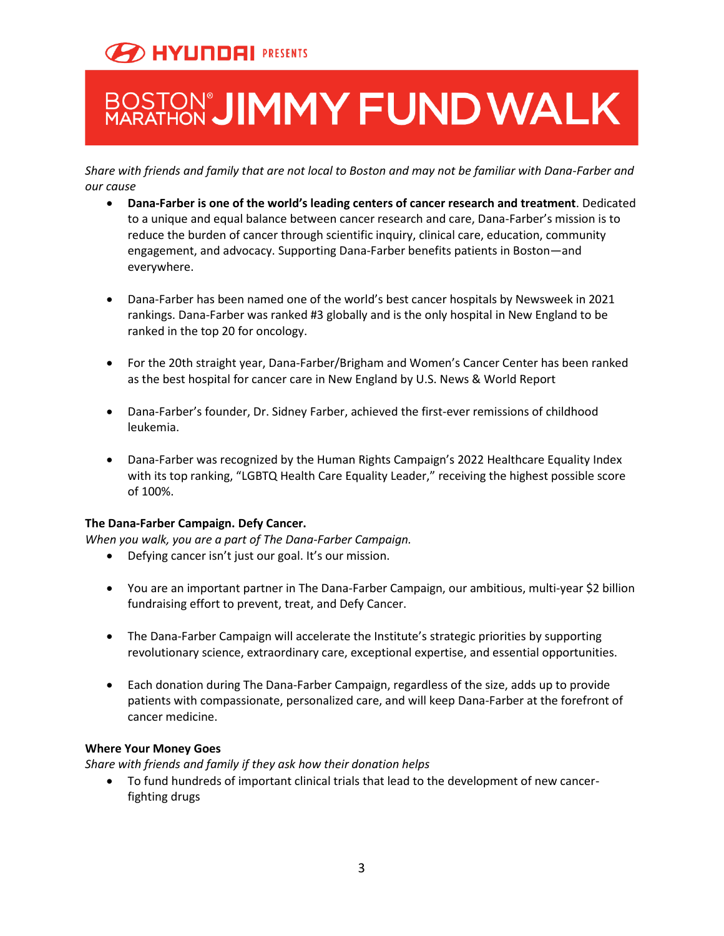# BOSTON'**JIMMY FUND WALK**

*Share with friends and family that are not local to Boston and may not be familiar with Dana-Farber and our cause*

- **Dana-Farber is one of the world's leading centers of cancer research and treatment**. Dedicated to a unique and equal balance between cancer research and care, Dana-Farber's mission is to reduce the burden of cancer through scientific inquiry, clinical care, education, community engagement, and advocacy. Supporting Dana-Farber benefits patients in Boston—and everywhere.
- Dana-Farber has been named one of the world's best cancer hospitals by Newsweek in 2021 rankings. Dana-Farber was ranked #3 globally and is the only hospital in New England to be ranked in the top 20 for oncology.
- For the 20th straight year, Dana-Farber/Brigham and Women's Cancer Center has been ranked as the best hospital for cancer care in New England by U.S. News & World Report
- Dana-Farber's founder, Dr. Sidney Farber, achieved the first-ever remissions of childhood leukemia.
- Dana-Farber was recognized by the Human Rights Campaign's 2022 Healthcare Equality Index with its top ranking, "LGBTQ Health Care Equality Leader," receiving the highest possible score of 100%.

## **The Dana-Farber Campaign. Defy Cancer.**

*When you walk, you are a part of The Dana-Farber Campaign.* 

- Defying cancer isn't just our goal. It's our mission.
- You are an important partner in The Dana-Farber Campaign, our ambitious, multi-year \$2 billion fundraising effort to prevent, treat, and Defy Cancer.
- The Dana-Farber Campaign will accelerate the Institute's strategic priorities by supporting revolutionary science, extraordinary care, exceptional expertise, and essential opportunities.
- Each donation during The Dana-Farber Campaign, regardless of the size, adds up to provide patients with compassionate, personalized care, and will keep Dana-Farber at the forefront of cancer medicine.

## **Where Your Money Goes**

*Share with friends and family if they ask how their donation helps*

• To fund hundreds of important clinical trials that lead to the development of new cancerfighting drugs